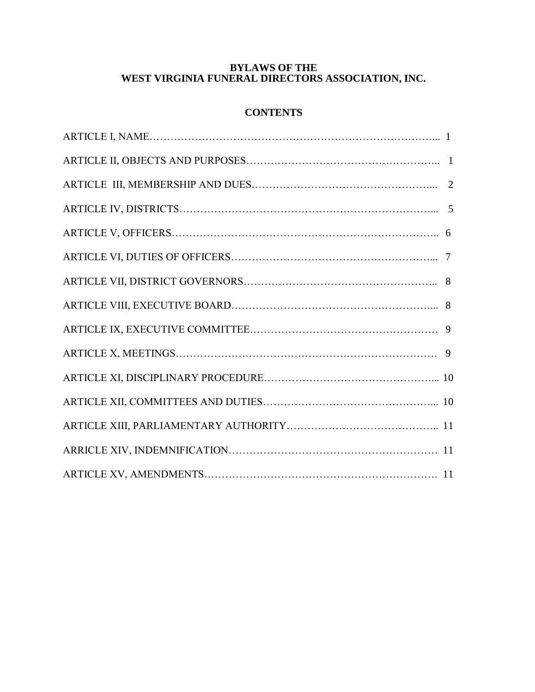## **BYLAWS OF THE WEST VIRGINIA FUNERAL DIRECTORS ASSOCIATION, INC.**

# **CONTENTS**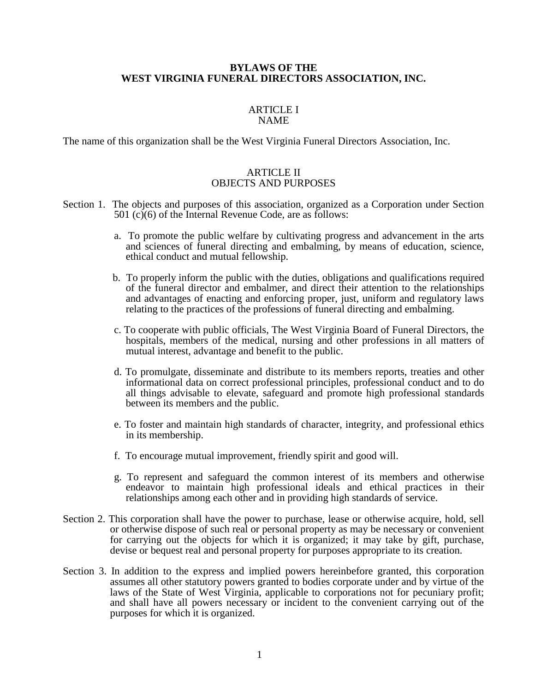#### **BYLAWS OF THE WEST VIRGINIA FUNERAL DIRECTORS ASSOCIATION, INC.**

#### ARTICLE I NAME

The name of this organization shall be the West Virginia Funeral Directors Association, Inc.

## ARTICLE II OBJECTS AND PURPOSES

- Section 1. The objects and purposes of this association, organized as a Corporation under Section 501 (c)(6) of the Internal Revenue Code, are as follows:
	- a. To promote the public welfare by cultivating progress and advancement in the arts and sciences of funeral directing and embalming, by means of education, science, ethical conduct and mutual fellowship.
	- b. To properly inform the public with the duties, obligations and qualifications required of the funeral director and embalmer, and direct their attention to the relationships and advantages of enacting and enforcing proper, just, uniform and regulatory laws relating to the practices of the professions of funeral directing and embalming.
	- c. To cooperate with public officials, The West Virginia Board of Funeral Directors, the hospitals, members of the medical, nursing and other professions in all matters of mutual interest, advantage and benefit to the public.
	- d. To promulgate, disseminate and distribute to its members reports, treaties and other informational data on correct professional principles, professional conduct and to do all things advisable to elevate, safeguard and promote high professional standards between its members and the public.
	- e. To foster and maintain high standards of character, integrity, and professional ethics in its membership.
	- f. To encourage mutual improvement, friendly spirit and good will.
	- g. To represent and safeguard the common interest of its members and otherwise endeavor to maintain high professional ideals and ethical practices in their relationships among each other and in providing high standards of service.
- Section 2. This corporation shall have the power to purchase, lease or otherwise acquire, hold, sell or otherwise dispose of such real or personal property as may be necessary or convenient for carrying out the objects for which it is organized; it may take by gift, purchase, devise or bequest real and personal property for purposes appropriate to its creation.
- Section 3. In addition to the express and implied powers hereinbefore granted, this corporation assumes all other statutory powers granted to bodies corporate under and by virtue of the laws of the State of West Virginia, applicable to corporations not for pecuniary profit; and shall have all powers necessary or incident to the convenient carrying out of the purposes for which it is organized.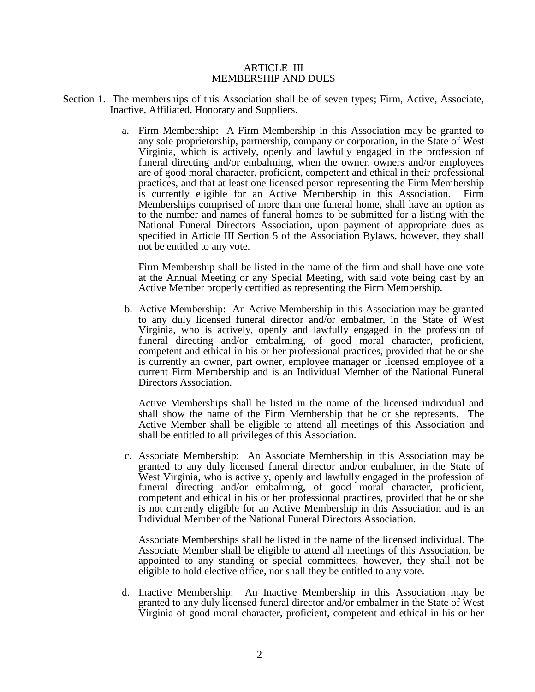#### ARTICLE III MEMBERSHIP AND DUES

- Section 1. The memberships of this Association shall be of seven types; Firm, Active, Associate, Inactive, Affiliated, Honorary and Suppliers.
	- a. Firm Membership: A Firm Membership in this Association may be granted to any sole proprietorship, partnership, company or corporation, in the State of West Virginia, which is actively, openly and lawfully engaged in the profession of funeral directing and/or embalming, when the owner, owners and/or employees are of good moral character, proficient, competent and ethical in their professional practices, and that at least one licensed person representing the Firm Membership is currently eligible for an Active Membership in this Association. Firm Memberships comprised of more than one funeral home, shall have an option as to the number and names of funeral homes to be submitted for a listing with the National Funeral Directors Association, upon payment of appropriate dues as specified in Article III Section 5 of the Association Bylaws, however, they shall not be entitled to any vote.

 Firm Membership shall be listed in the name of the firm and shall have one vote at the Annual Meeting or any Special Meeting, with said vote being cast by an Active Member properly certified as representing the Firm Membership.

b. Active Membership: An Active Membership in this Association may be granted to any duly licensed funeral director and/or embalmer, in the State of West Virginia, who is actively, openly and lawfully engaged in the profession of funeral directing and/or embalming, of good moral character, proficient, competent and ethical in his or her professional practices, provided that he or she is currently an owner, part owner, employee manager or licensed employee of a current Firm Membership and is an Individual Member of the National Funeral Directors Association.

 Active Memberships shall be listed in the name of the licensed individual and shall show the name of the Firm Membership that he or she represents. The Active Member shall be eligible to attend all meetings of this Association and shall be entitled to all privileges of this Association.

c. Associate Membership: An Associate Membership in this Association may be granted to any duly licensed funeral director and/or embalmer, in the State of West Virginia, who is actively, openly and lawfully engaged in the profession of funeral directing and/or embalming, of good moral character, proficient, competent and ethical in his or her professional practices, provided that he or she is not currently eligible for an Active Membership in this Association and is an Individual Member of the National Funeral Directors Association.

 Associate Memberships shall be listed in the name of the licensed individual. The Associate Member shall be eligible to attend all meetings of this Association, be appointed to any standing or special committees, however, they shall not be eligible to hold elective office, nor shall they be entitled to any vote.

d. Inactive Membership: An Inactive Membership in this Association may be granted to any duly licensed funeral director and/or embalmer in the State of West Virginia of good moral character, proficient, competent and ethical in his or her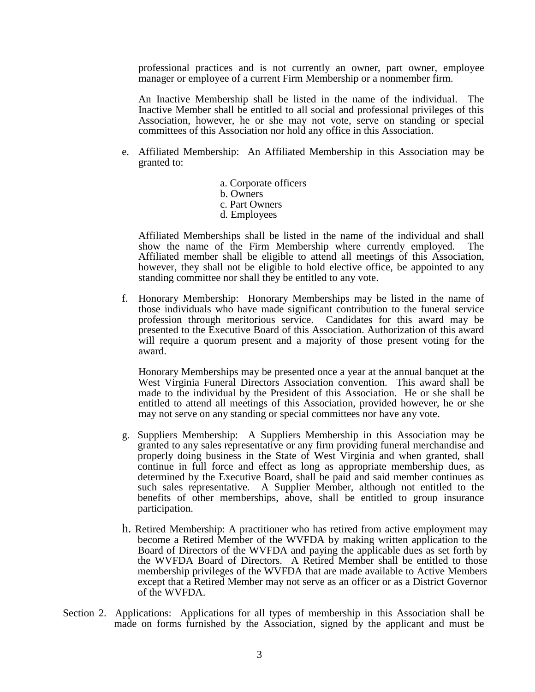professional practices and is not currently an owner, part owner, employee manager or employee of a current Firm Membership or a nonmember firm.

 An Inactive Membership shall be listed in the name of the individual. The Inactive Member shall be entitled to all social and professional privileges of this Association, however, he or she may not vote, serve on standing or special committees of this Association nor hold any office in this Association.

- e. Affiliated Membership: An Affiliated Membership in this Association may be granted to:
	- a. Corporate officers b. Owners c. Part Owners d. Employees

Affiliated Memberships shall be listed in the name of the individual and shall show the name of the Firm Membership where currently employed. The Affiliated member shall be eligible to attend all meetings of this Association, however, they shall not be eligible to hold elective office, be appointed to any standing committee nor shall they be entitled to any vote.

f. Honorary Membership: Honorary Memberships may be listed in the name of those individuals who have made significant contribution to the funeral service profession through meritorious service. Candidates for this award may be presented to the Executive Board of this Association. Authorization of this award will require a quorum present and a majority of those present voting for the award.

 Honorary Memberships may be presented once a year at the annual banquet at the West Virginia Funeral Directors Association convention. This award shall be made to the individual by the President of this Association. He or she shall be entitled to attend all meetings of this Association, provided however, he or she may not serve on any standing or special committees nor have any vote.

- g. Suppliers Membership: A Suppliers Membership in this Association may be granted to any sales representative or any firm providing funeral merchandise and properly doing business in the State of West Virginia and when granted, shall continue in full force and effect as long as appropriate membership dues, as determined by the Executive Board, shall be paid and said member continues as such sales representative. A Supplier Member, although not entitled to the benefits of other memberships, above, shall be entitled to group insurance participation.
- h. Retired Membership: A practitioner who has retired from active employment may become a Retired Member of the WVFDA by making written application to the Board of Directors of the WVFDA and paying the applicable dues as set forth by the WVFDA Board of Directors. A Retired Member shall be entitled to those membership privileges of the WVFDA that are made available to Active Members except that a Retired Member may not serve as an officer or as a District Governor of the WVFDA.
- Section 2. Applications: Applications for all types of membership in this Association shall be made on forms furnished by the Association, signed by the applicant and must be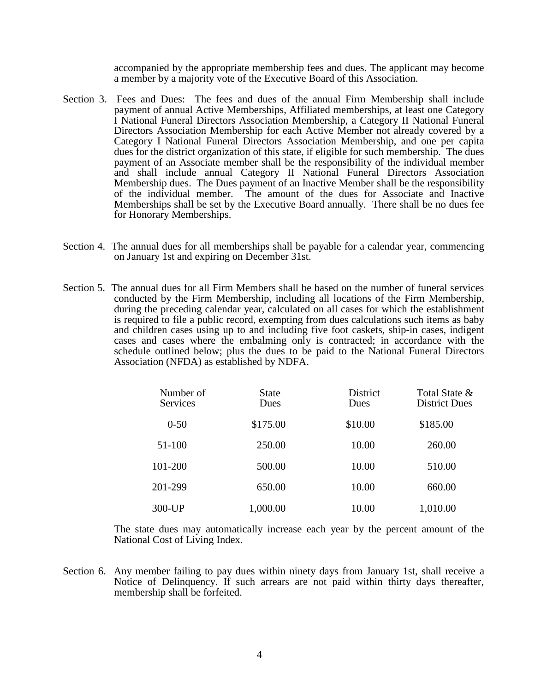accompanied by the appropriate membership fees and dues. The applicant may become a member by a majority vote of the Executive Board of this Association.

- Section 3. Fees and Dues: The fees and dues of the annual Firm Membership shall include payment of annual Active Memberships, Affiliated memberships, at least one Category I National Funeral Directors Association Membership, a Category II National Funeral Directors Association Membership for each Active Member not already covered by a Category I National Funeral Directors Association Membership, and one per capita dues for the district organization of this state, if eligible for such membership. The dues payment of an Associate member shall be the responsibility of the individual member and shall include annual Category II National Funeral Directors Association Membership dues. The Dues payment of an Inactive Member shall be the responsibility of the individual member. The amount of the dues for Associate and Inactive Memberships shall be set by the Executive Board annually. There shall be no dues fee for Honorary Memberships.
- Section 4. The annual dues for all memberships shall be payable for a calendar year, commencing on January 1st and expiring on December 31st.
- Section 5. The annual dues for all Firm Members shall be based on the number of funeral services conducted by the Firm Membership, including all locations of the Firm Membership, during the preceding calendar year, calculated on all cases for which the establishment is required to file a public record, exempting from dues calculations such items as baby and children cases using up to and including five foot caskets, ship-in cases, indigent cases and cases where the embalming only is contracted; in accordance with the schedule outlined below; plus the dues to be paid to the National Funeral Directors Association (NFDA) as established by NDFA.

| Number of<br><b>Services</b> | <b>State</b><br>Dues | District<br>Dues | Total State &<br><b>District Dues</b> |
|------------------------------|----------------------|------------------|---------------------------------------|
| $0 - 50$                     | \$175.00             | \$10.00          | \$185.00                              |
| 51-100                       | 250.00               | 10.00            | 260.00                                |
| 101-200                      | 500.00               | 10.00            | 510.00                                |
| 201-299                      | 650.00               | 10.00            | 660.00                                |
| 300-UP                       | 1,000.00             | 10.00            | 1,010.00                              |

 The state dues may automatically increase each year by the percent amount of the National Cost of Living Index.

Section 6. Any member failing to pay dues within ninety days from January 1st, shall receive a Notice of Delinquency. If such arrears are not paid within thirty days thereafter, membership shall be forfeited.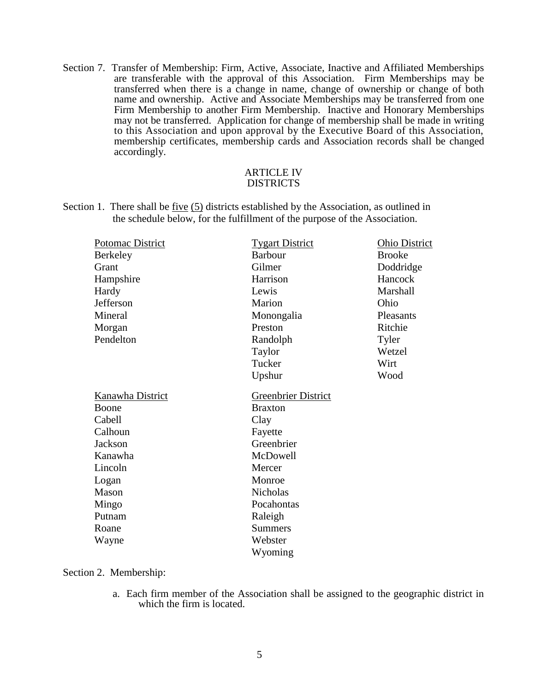Section 7. Transfer of Membership: Firm, Active, Associate, Inactive and Affiliated Memberships are transferable with the approval of this Association. Firm Memberships may be transferred when there is a change in name, change of ownership or change of both name and ownership. Active and Associate Memberships may be transferred from one Firm Membership to another Firm Membership. Inactive and Honorary Memberships may not be transferred. Application for change of membership shall be made in writing to this Association and upon approval by the Executive Board of this Association, membership certificates, membership cards and Association records shall be changed accordingly.

#### ARTICLE IV DISTRICTS

Section 1. There shall be five (5) districts established by the Association, as outlined in the schedule below, for the fulfillment of the purpose of the Association.

| Potomac District | <b>Tygart District</b>     | <b>Ohio District</b> |
|------------------|----------------------------|----------------------|
| Berkeley         | <b>Barbour</b>             | <b>Brooke</b>        |
| Grant            | Gilmer                     | Doddridge            |
| Hampshire        | Harrison                   | Hancock              |
| Hardy            | Lewis                      | Marshall             |
| Jefferson        | Marion                     | Ohio                 |
| Mineral          | Monongalia                 | Pleasants            |
| Morgan           | Preston                    | Ritchie              |
| Pendelton        | Randolph                   | Tyler                |
|                  | Taylor                     | Wetzel               |
|                  | Tucker                     | Wirt                 |
|                  | Upshur                     | Wood                 |
| Kanawha District | <b>Greenbrier District</b> |                      |
| Boone            | <b>Braxton</b>             |                      |
| Cabell           | Clay                       |                      |
| Calhoun          | Fayette                    |                      |
| Jackson          | Greenbrier                 |                      |
| Kanawha          | McDowell                   |                      |
| Lincoln          | Mercer                     |                      |
| Logan            | Monroe                     |                      |
| Mason            | Nicholas                   |                      |
| Mingo            | Pocahontas                 |                      |
| Putnam           | Raleigh                    |                      |
| Roane            | <b>Summers</b>             |                      |
| Wayne            | Webster                    |                      |
|                  |                            |                      |

Section 2. Membership:

a. Each firm member of the Association shall be assigned to the geographic district in which the firm is located.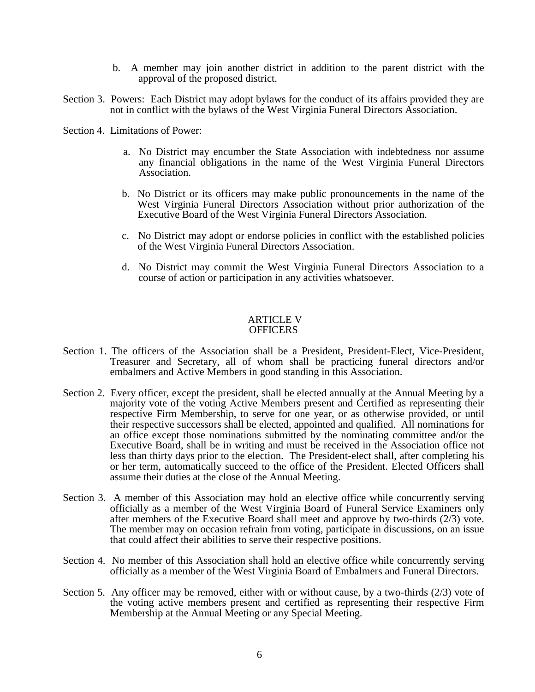- b. A member may join another district in addition to the parent district with the approval of the proposed district.
- Section 3. Powers: Each District may adopt bylaws for the conduct of its affairs provided they are not in conflict with the bylaws of the West Virginia Funeral Directors Association.
- Section 4. Limitations of Power:
	- a. No District may encumber the State Association with indebtedness nor assume any financial obligations in the name of the West Virginia Funeral Directors Association.
	- b. No District or its officers may make public pronouncements in the name of the West Virginia Funeral Directors Association without prior authorization of the Executive Board of the West Virginia Funeral Directors Association.
	- c. No District may adopt or endorse policies in conflict with the established policies of the West Virginia Funeral Directors Association.
	- d. No District may commit the West Virginia Funeral Directors Association to a course of action or participation in any activities whatsoever.

#### ARTICLE V **OFFICERS**

- Section 1. The officers of the Association shall be a President, President-Elect, Vice-President, Treasurer and Secretary, all of whom shall be practicing funeral directors and/or embalmers and Active Members in good standing in this Association.
- Section 2. Every officer, except the president, shall be elected annually at the Annual Meeting by a majority vote of the voting Active Members present and Certified as representing their respective Firm Membership, to serve for one year, or as otherwise provided, or until their respective successors shall be elected, appointed and qualified. All nominations for an office except those nominations submitted by the nominating committee and/or the Executive Board, shall be in writing and must be received in the Association office not less than thirty days prior to the election. The President-elect shall, after completing his or her term, automatically succeed to the office of the President. Elected Officers shall assume their duties at the close of the Annual Meeting.
- Section 3. A member of this Association may hold an elective office while concurrently serving officially as a member of the West Virginia Board of Funeral Service Examiners only after members of the Executive Board shall meet and approve by two-thirds (2/3) vote. The member may on occasion refrain from voting, participate in discussions, on an issue that could affect their abilities to serve their respective positions.
- Section 4. No member of this Association shall hold an elective office while concurrently serving officially as a member of the West Virginia Board of Embalmers and Funeral Directors.
- Section 5. Any officer may be removed, either with or without cause, by a two-thirds  $(2/3)$  vote of the voting active members present and certified as representing their respective Firm Membership at the Annual Meeting or any Special Meeting.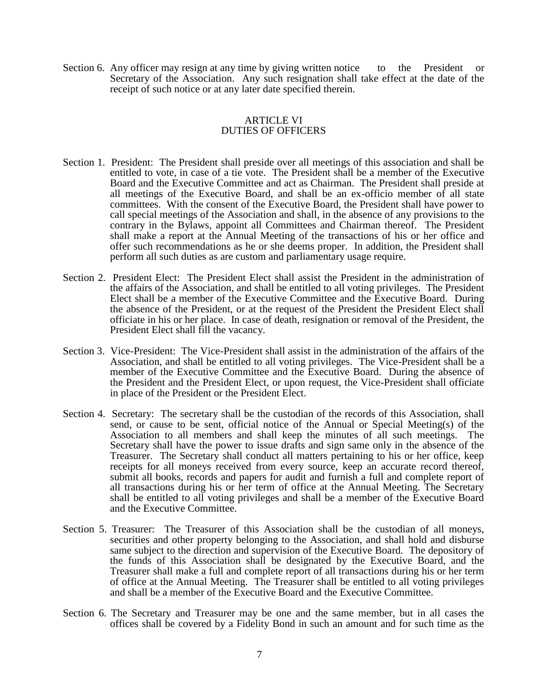Section 6. Any officer may resign at any time by giving written notice to the President or Secretary of the Association. Any such resignation shall take effect at the date of the receipt of such notice or at any later date specified therein.

## ARTICLE VI DUTIES OF OFFICERS

- Section 1. President: The President shall preside over all meetings of this association and shall be entitled to vote, in case of a tie vote. The President shall be a member of the Executive Board and the Executive Committee and act as Chairman. The President shall preside at all meetings of the Executive Board, and shall be an ex-officio member of all state committees. With the consent of the Executive Board, the President shall have power to call special meetings of the Association and shall, in the absence of any provisions to the contrary in the Bylaws, appoint all Committees and Chairman thereof. The President shall make a report at the Annual Meeting of the transactions of his or her office and offer such recommendations as he or she deems proper. In addition, the President shall perform all such duties as are custom and parliamentary usage require.
- Section 2. President Elect: The President Elect shall assist the President in the administration of the affairs of the Association, and shall be entitled to all voting privileges. The President Elect shall be a member of the Executive Committee and the Executive Board. During the absence of the President, or at the request of the President the President Elect shall officiate in his or her place. In case of death, resignation or removal of the President, the President Elect shall fill the vacancy.
- Section 3. Vice-President: The Vice-President shall assist in the administration of the affairs of the Association, and shall be entitled to all voting privileges. The Vice-President shall be a member of the Executive Committee and the Executive Board. During the absence of the President and the President Elect, or upon request, the Vice-President shall officiate in place of the President or the President Elect.
- Section 4. Secretary: The secretary shall be the custodian of the records of this Association, shall send, or cause to be sent, official notice of the Annual or Special Meeting(s) of the Association to all members and shall keep the minutes of all such meetings. The Secretary shall have the power to issue drafts and sign same only in the absence of the Treasurer. The Secretary shall conduct all matters pertaining to his or her office, keep receipts for all moneys received from every source, keep an accurate record thereof, submit all books, records and papers for audit and furnish a full and complete report of all transactions during his or her term of office at the Annual Meeting. The Secretary shall be entitled to all voting privileges and shall be a member of the Executive Board and the Executive Committee.
- Section 5. Treasurer: The Treasurer of this Association shall be the custodian of all moneys, securities and other property belonging to the Association, and shall hold and disburse same subject to the direction and supervision of the Executive Board. The depository of the funds of this Association shall be designated by the Executive Board, and the Treasurer shall make a full and complete report of all transactions during his or her term of office at the Annual Meeting. The Treasurer shall be entitled to all voting privileges and shall be a member of the Executive Board and the Executive Committee.
- Section 6. The Secretary and Treasurer may be one and the same member, but in all cases the offices shall be covered by a Fidelity Bond in such an amount and for such time as the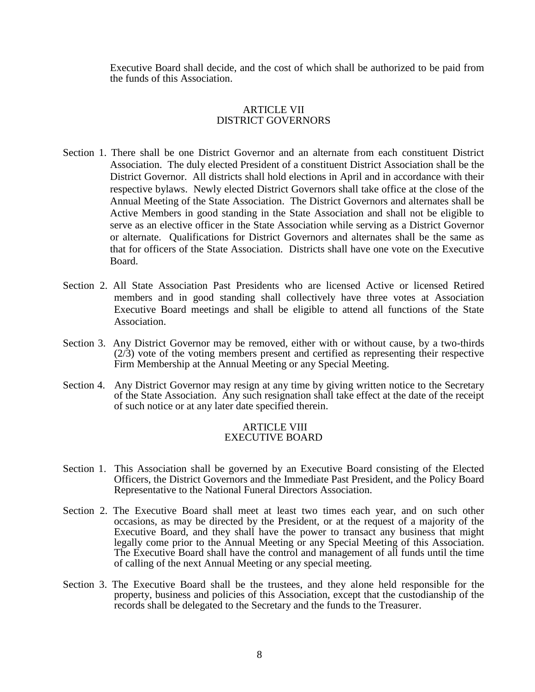Executive Board shall decide, and the cost of which shall be authorized to be paid from the funds of this Association.

## ARTICLE VII DISTRICT GOVERNORS

- Section 1. There shall be one District Governor and an alternate from each constituent District Association. The duly elected President of a constituent District Association shall be the District Governor. All districts shall hold elections in April and in accordance with their respective bylaws. Newly elected District Governors shall take office at the close of the Annual Meeting of the State Association. The District Governors and alternates shall be Active Members in good standing in the State Association and shall not be eligible to serve as an elective officer in the State Association while serving as a District Governor or alternate. Qualifications for District Governors and alternates shall be the same as that for officers of the State Association. Districts shall have one vote on the Executive Board.
- Section 2. All State Association Past Presidents who are licensed Active or licensed Retired members and in good standing shall collectively have three votes at Association Executive Board meetings and shall be eligible to attend all functions of the State Association.
- Section 3. Any District Governor may be removed, either with or without cause, by a two-thirds (2/3) vote of the voting members present and certified as representing their respective Firm Membership at the Annual Meeting or any Special Meeting.
- Section 4. Any District Governor may resign at any time by giving written notice to the Secretary of the State Association. Any such resignation shall take effect at the date of the receipt of such notice or at any later date specified therein.

### ARTICLE VIII EXECUTIVE BOARD

- Section 1. This Association shall be governed by an Executive Board consisting of the Elected Officers, the District Governors and the Immediate Past President, and the Policy Board Representative to the National Funeral Directors Association.
- Section 2. The Executive Board shall meet at least two times each year, and on such other occasions, as may be directed by the President, or at the request of a majority of the Executive Board, and they shall have the power to transact any business that might legally come prior to the Annual Meeting or any Special Meeting of this Association. The Executive Board shall have the control and management of all funds until the time of calling of the next Annual Meeting or any special meeting.
- Section 3. The Executive Board shall be the trustees, and they alone held responsible for the property, business and policies of this Association, except that the custodianship of the records shall be delegated to the Secretary and the funds to the Treasurer.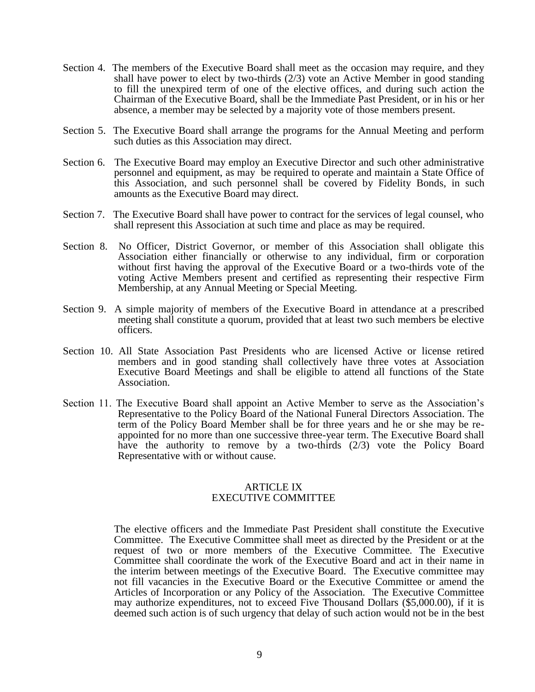- Section 4. The members of the Executive Board shall meet as the occasion may require, and they shall have power to elect by two-thirds  $(2/3)$  vote an Active Member in good standing to fill the unexpired term of one of the elective offices, and during such action the Chairman of the Executive Board, shall be the Immediate Past President, or in his or her absence, a member may be selected by a majority vote of those members present.
- Section 5. The Executive Board shall arrange the programs for the Annual Meeting and perform such duties as this Association may direct.
- Section 6. The Executive Board may employ an Executive Director and such other administrative personnel and equipment, as may be required to operate and maintain a State Office of this Association, and such personnel shall be covered by Fidelity Bonds, in such amounts as the Executive Board may direct.
- Section 7. The Executive Board shall have power to contract for the services of legal counsel, who shall represent this Association at such time and place as may be required.
- Section 8. No Officer, District Governor, or member of this Association shall obligate this Association either financially or otherwise to any individual, firm or corporation without first having the approval of the Executive Board or a two-thirds vote of the voting Active Members present and certified as representing their respective Firm Membership, at any Annual Meeting or Special Meeting.
- Section 9. A simple majority of members of the Executive Board in attendance at a prescribed meeting shall constitute a quorum, provided that at least two such members be elective officers.
- Section 10. All State Association Past Presidents who are licensed Active or license retired members and in good standing shall collectively have three votes at Association Executive Board Meetings and shall be eligible to attend all functions of the State Association.
- Section 11. The Executive Board shall appoint an Active Member to serve as the Association's Representative to the Policy Board of the National Funeral Directors Association. The term of the Policy Board Member shall be for three years and he or she may be reappointed for no more than one successive three-year term. The Executive Board shall have the authority to remove by a two-thirds (2/3) vote the Policy Board Representative with or without cause.

## ARTICLE IX EXECUTIVE COMMITTEE

 The elective officers and the Immediate Past President shall constitute the Executive Committee. The Executive Committee shall meet as directed by the President or at the request of two or more members of the Executive Committee. The Executive Committee shall coordinate the work of the Executive Board and act in their name in the interim between meetings of the Executive Board. The Executive committee may not fill vacancies in the Executive Board or the Executive Committee or amend the Articles of Incorporation or any Policy of the Association. The Executive Committee may authorize expenditures, not to exceed Five Thousand Dollars (\$5,000.00), if it is deemed such action is of such urgency that delay of such action would not be in the best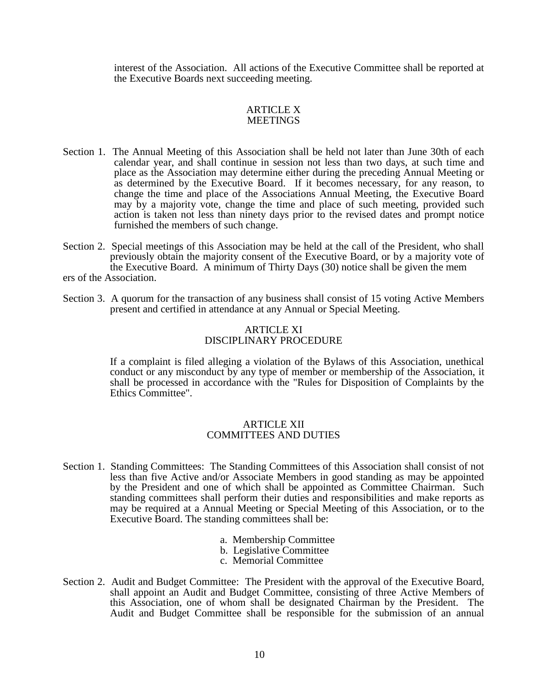interest of the Association. All actions of the Executive Committee shall be reported at the Executive Boards next succeeding meeting.

#### ARTICLE X **MEETINGS**

- Section 1. The Annual Meeting of this Association shall be held not later than June 30th of each calendar year, and shall continue in session not less than two days, at such time and place as the Association may determine either during the preceding Annual Meeting or as determined by the Executive Board. If it becomes necessary, for any reason, to change the time and place of the Associations Annual Meeting, the Executive Board may by a majority vote, change the time and place of such meeting, provided such action is taken not less than ninety days prior to the revised dates and prompt notice furnished the members of such change.
- Section 2. Special meetings of this Association may be held at the call of the President, who shall previously obtain the majority consent of the Executive Board, or by a majority vote of the Executive Board. A minimum of Thirty Days (30) notice shall be given the mem ers of the Association.
- Section 3. A quorum for the transaction of any business shall consist of 15 voting Active Members present and certified in attendance at any Annual or Special Meeting.

#### ARTICLE XI DISCIPLINARY PROCEDURE

 If a complaint is filed alleging a violation of the Bylaws of this Association, unethical conduct or any misconduct by any type of member or membership of the Association, it shall be processed in accordance with the "Rules for Disposition of Complaints by the Ethics Committee".

## ARTICLE XII COMMITTEES AND DUTIES

- Section 1. Standing Committees: The Standing Committees of this Association shall consist of not less than five Active and/or Associate Members in good standing as may be appointed by the President and one of which shall be appointed as Committee Chairman. Such standing committees shall perform their duties and responsibilities and make reports as may be required at a Annual Meeting or Special Meeting of this Association, or to the Executive Board. The standing committees shall be:
	- a. Membership Committee
	- b. Legislative Committee
	- c. Memorial Committee
- Section 2. Audit and Budget Committee: The President with the approval of the Executive Board, shall appoint an Audit and Budget Committee, consisting of three Active Members of this Association, one of whom shall be designated Chairman by the President. The Audit and Budget Committee shall be responsible for the submission of an annual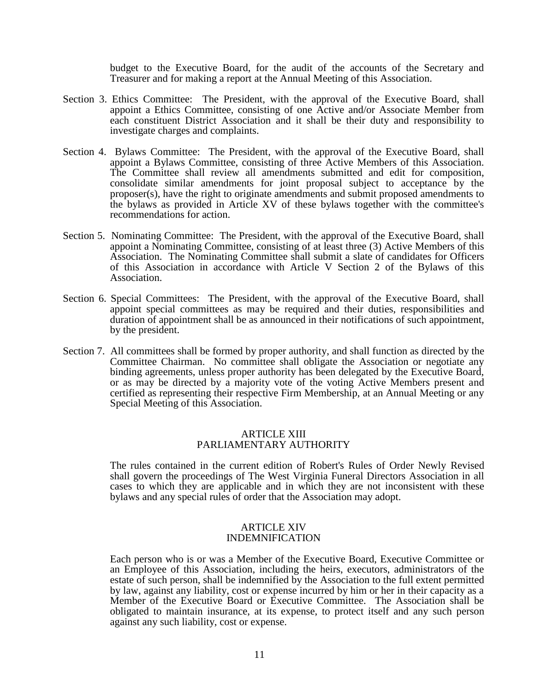budget to the Executive Board, for the audit of the accounts of the Secretary and Treasurer and for making a report at the Annual Meeting of this Association.

- Section 3. Ethics Committee: The President, with the approval of the Executive Board, shall appoint a Ethics Committee, consisting of one Active and/or Associate Member from each constituent District Association and it shall be their duty and responsibility to investigate charges and complaints.
- Section 4. Bylaws Committee: The President, with the approval of the Executive Board, shall appoint a Bylaws Committee, consisting of three Active Members of this Association. The Committee shall review all amendments submitted and edit for composition, consolidate similar amendments for joint proposal subject to acceptance by the proposer(s), have the right to originate amendments and submit proposed amendments to the bylaws as provided in Article XV of these bylaws together with the committee's recommendations for action.
- Section 5. Nominating Committee: The President, with the approval of the Executive Board, shall appoint a Nominating Committee, consisting of at least three (3) Active Members of this Association. The Nominating Committee shall submit a slate of candidates for Officers of this Association in accordance with Article V Section 2 of the Bylaws of this Association.
- Section 6. Special Committees: The President, with the approval of the Executive Board, shall appoint special committees as may be required and their duties, responsibilities and duration of appointment shall be as announced in their notifications of such appointment, by the president.
- Section 7. All committees shall be formed by proper authority, and shall function as directed by the Committee Chairman. No committee shall obligate the Association or negotiate any binding agreements, unless proper authority has been delegated by the Executive Board, or as may be directed by a majority vote of the voting Active Members present and certified as representing their respective Firm Membership, at an Annual Meeting or any Special Meeting of this Association.

## ARTICLE XIII PARLIAMENTARY AUTHORITY

 The rules contained in the current edition of Robert's Rules of Order Newly Revised shall govern the proceedings of The West Virginia Funeral Directors Association in all cases to which they are applicable and in which they are not inconsistent with these bylaws and any special rules of order that the Association may adopt.

#### ARTICLE XIV INDEMNIFICATION

 Each person who is or was a Member of the Executive Board, Executive Committee or an Employee of this Association, including the heirs, executors, administrators of the estate of such person, shall be indemnified by the Association to the full extent permitted by law, against any liability, cost or expense incurred by him or her in their capacity as a Member of the Executive Board or Executive Committee. The Association shall be obligated to maintain insurance, at its expense, to protect itself and any such person against any such liability, cost or expense.